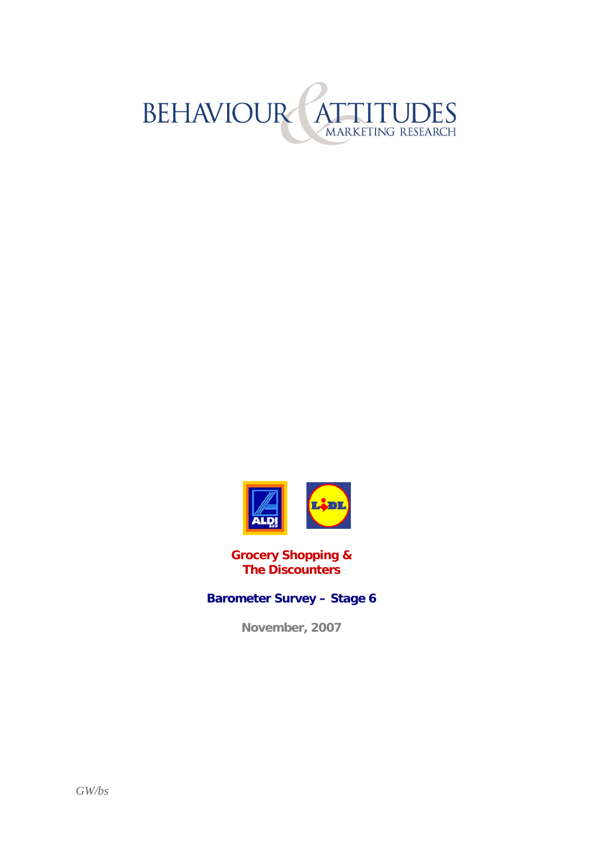



**Grocery Shopping & The Discounters** 

#### **Barometer Survey – Stage 6**

**November, 2007**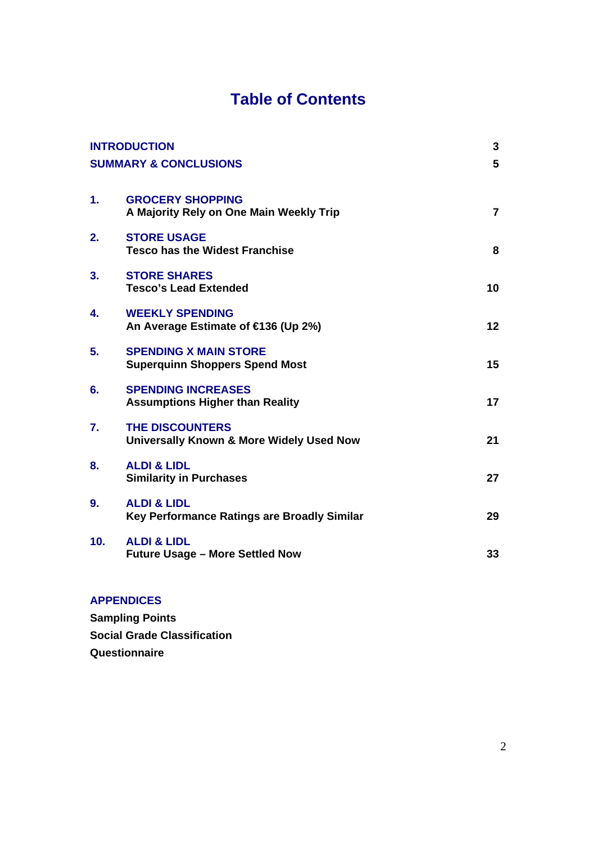### **Table of Contents**

| <b>INTRODUCTION</b>              |                                                                       | 3              |
|----------------------------------|-----------------------------------------------------------------------|----------------|
| <b>SUMMARY &amp; CONCLUSIONS</b> |                                                                       | 5              |
| $\mathbf 1$ .                    | <b>GROCERY SHOPPING</b><br>A Majority Rely on One Main Weekly Trip    | $\overline{7}$ |
| 2.                               | <b>STORE USAGE</b><br><b>Tesco has the Widest Franchise</b>           | 8              |
| 3.                               | <b>STORE SHARES</b><br><b>Tesco's Lead Extended</b>                   | 10             |
| 4.                               | <b>WEEKLY SPENDING</b><br>An Average Estimate of €136 (Up 2%)         | 12             |
| 5.                               | <b>SPENDING X MAIN STORE</b><br><b>Superquinn Shoppers Spend Most</b> | 15             |
| 6.                               | <b>SPENDING INCREASES</b><br><b>Assumptions Higher than Reality</b>   | 17             |
| 7.                               | <b>THE DISCOUNTERS</b><br>Universally Known & More Widely Used Now    | 21             |
| 8.                               | <b>ALDI &amp; LIDL</b><br><b>Similarity in Purchases</b>              | 27             |
| 9.                               | <b>ALDI &amp; LIDL</b><br>Key Performance Ratings are Broadly Similar | 29             |
| 10.                              | <b>ALDI &amp; LIDL</b><br><b>Future Usage - More Settled Now</b>      | 33             |
|                                  |                                                                       |                |

#### **APPENDICES**

**Sampling Points Social Grade Classification Questionnaire**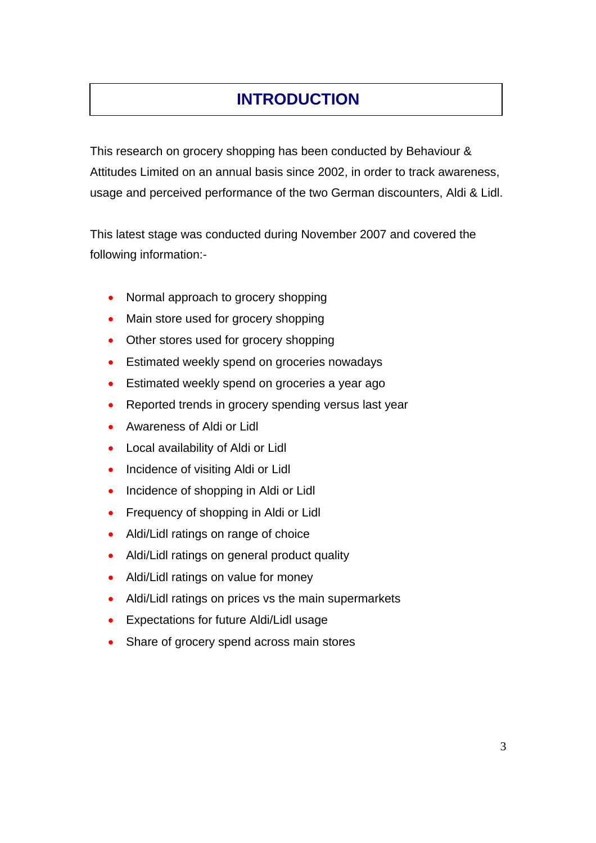## **INTRODUCTION**

This research on grocery shopping has been conducted by Behaviour & Attitudes Limited on an annual basis since 2002, in order to track awareness, usage and perceived performance of the two German discounters, Aldi & Lidl.

This latest stage was conducted during November 2007 and covered the following information:-

- Normal approach to grocery shopping
- Main store used for grocery shopping
- Other stores used for grocery shopping
- Estimated weekly spend on groceries nowadays
- Estimated weekly spend on groceries a year ago
- Reported trends in grocery spending versus last year
- Awareness of Aldi or Lidl
- Local availability of Aldi or Lidl
- Incidence of visiting Aldi or Lidl
- Incidence of shopping in Aldi or Lidl
- Frequency of shopping in Aldi or Lidl
- Aldi/Lidl ratings on range of choice
- Aldi/Lidl ratings on general product quality
- Aldi/Lidl ratings on value for money
- Aldi/Lidl ratings on prices vs the main supermarkets
- Expectations for future Aldi/Lidl usage
- Share of grocery spend across main stores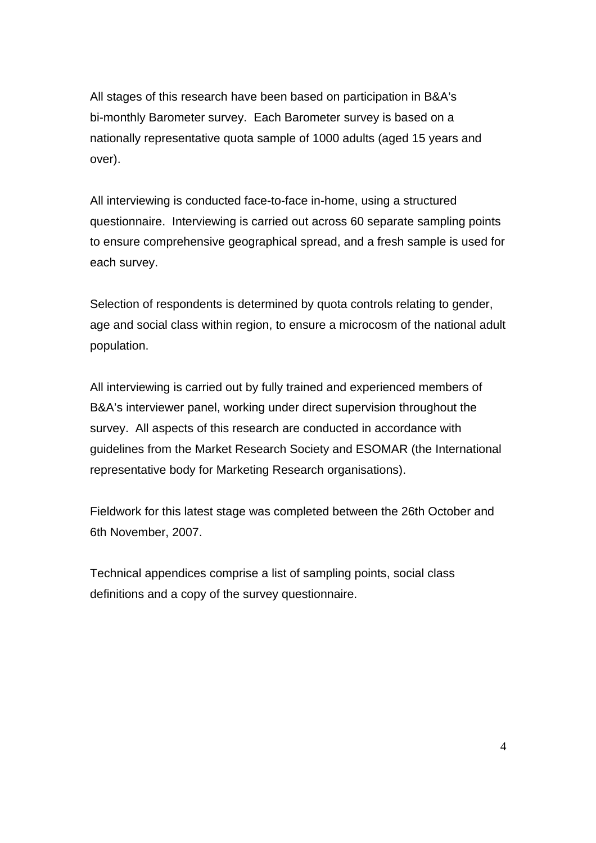All stages of this research have been based on participation in B&A's bi-monthly Barometer survey. Each Barometer survey is based on a nationally representative quota sample of 1000 adults (aged 15 years and over).

All interviewing is conducted face-to-face in-home, using a structured questionnaire. Interviewing is carried out across 60 separate sampling points to ensure comprehensive geographical spread, and a fresh sample is used for each survey.

Selection of respondents is determined by quota controls relating to gender, age and social class within region, to ensure a microcosm of the national adult population.

All interviewing is carried out by fully trained and experienced members of B&A's interviewer panel, working under direct supervision throughout the survey. All aspects of this research are conducted in accordance with guidelines from the Market Research Society and ESOMAR (the International representative body for Marketing Research organisations).

Fieldwork for this latest stage was completed between the 26th October and 6th November, 2007.

Technical appendices comprise a list of sampling points, social class definitions and a copy of the survey questionnaire.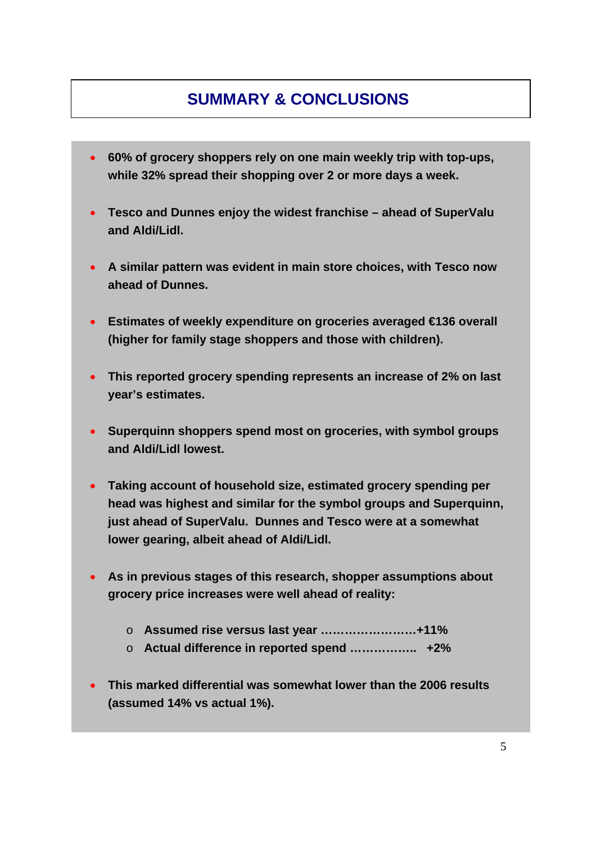### **SUMMARY & CONCLUSIONS**

- **60% of grocery shoppers rely on one main weekly trip with top-ups, while 32% spread their shopping over 2 or more days a week.**
- **Tesco and Dunnes enjoy the widest franchise ahead of SuperValu and Aldi/Lidl.**
- **A similar pattern was evident in main store choices, with Tesco now ahead of Dunnes.**
- **Estimates of weekly expenditure on groceries averaged €136 overall (higher for family stage shoppers and those with children).**
- **This reported grocery spending represents an increase of 2% on last year's estimates.**
- **Superquinn shoppers spend most on groceries, with symbol groups and Aldi/Lidl lowest.**
- **Taking account of household size, estimated grocery spending per head was highest and similar for the symbol groups and Superquinn, just ahead of SuperValu. Dunnes and Tesco were at a somewhat lower gearing, albeit ahead of Aldi/Lidl.**
- **As in previous stages of this research, shopper assumptions about grocery price increases were well ahead of reality:**
	- o **Assumed rise versus last year ……………………+11%**
	- o **Actual difference in reported spend …………….. +2%**
- **This marked differential was somewhat lower than the 2006 results (assumed 14% vs actual 1%).**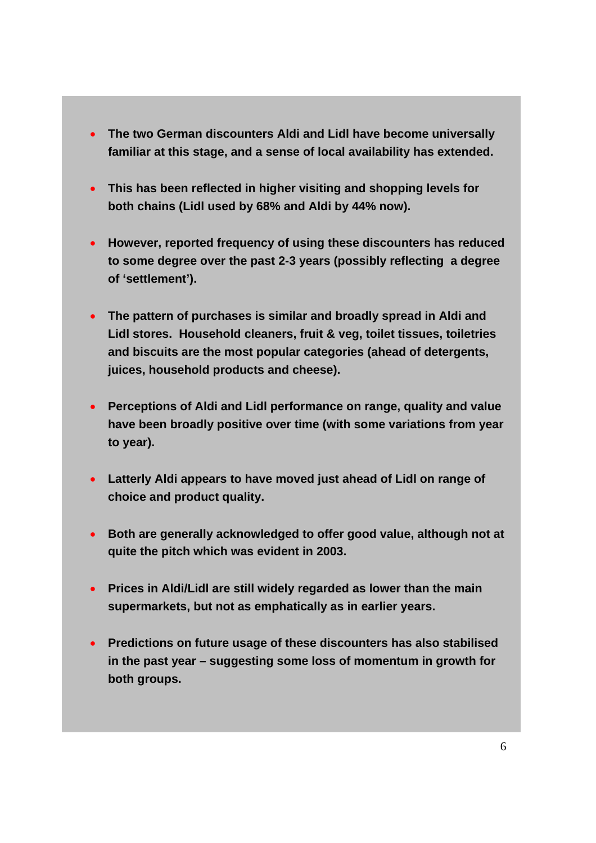- **The two German discounters Aldi and Lidl have become universally familiar at this stage, and a sense of local availability has extended.**
- **This has been reflected in higher visiting and shopping levels for both chains (Lidl used by 68% and Aldi by 44% now).**
- **However, reported frequency of using these discounters has reduced to some degree over the past 2-3 years (possibly reflecting a degree of 'settlement').**
- **The pattern of purchases is similar and broadly spread in Aldi and Lidl stores. Household cleaners, fruit & veg, toilet tissues, toiletries and biscuits are the most popular categories (ahead of detergents, juices, household products and cheese).**
- **Perceptions of Aldi and Lidl performance on range, quality and value have been broadly positive over time (with some variations from year to year).**
- **Latterly Aldi appears to have moved just ahead of Lidl on range of choice and product quality.**
- **Both are generally acknowledged to offer good value, although not at quite the pitch which was evident in 2003.**
- **Prices in Aldi/Lidl are still widely regarded as lower than the main supermarkets, but not as emphatically as in earlier years.**
- **Predictions on future usage of these discounters has also stabilised in the past year – suggesting some loss of momentum in growth for both groups.**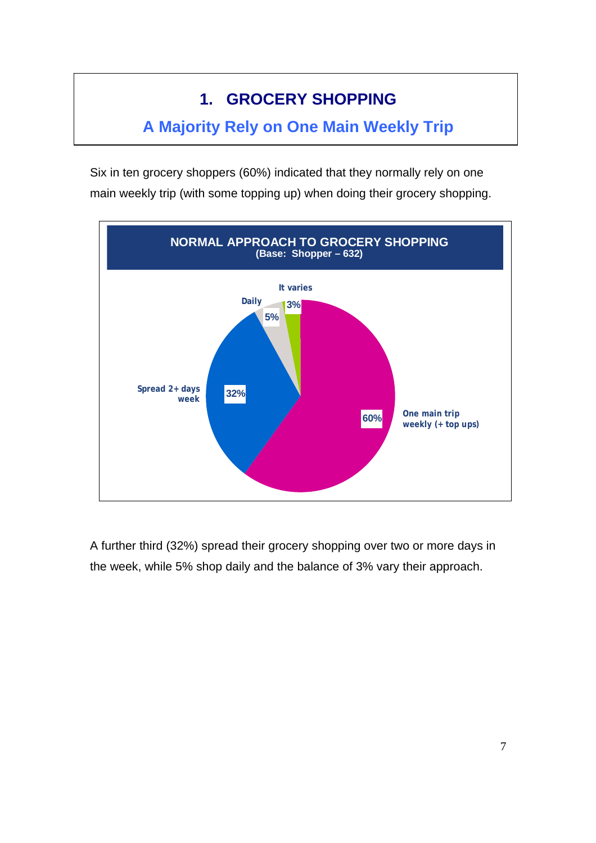# **1. GROCERY SHOPPING**

### **A Majority Rely on One Main Weekly Trip**

Six in ten grocery shoppers (60%) indicated that they normally rely on one main weekly trip (with some topping up) when doing their grocery shopping.

![](_page_6_Figure_3.jpeg)

A further third (32%) spread their grocery shopping over two or more days in the week, while 5% shop daily and the balance of 3% vary their approach.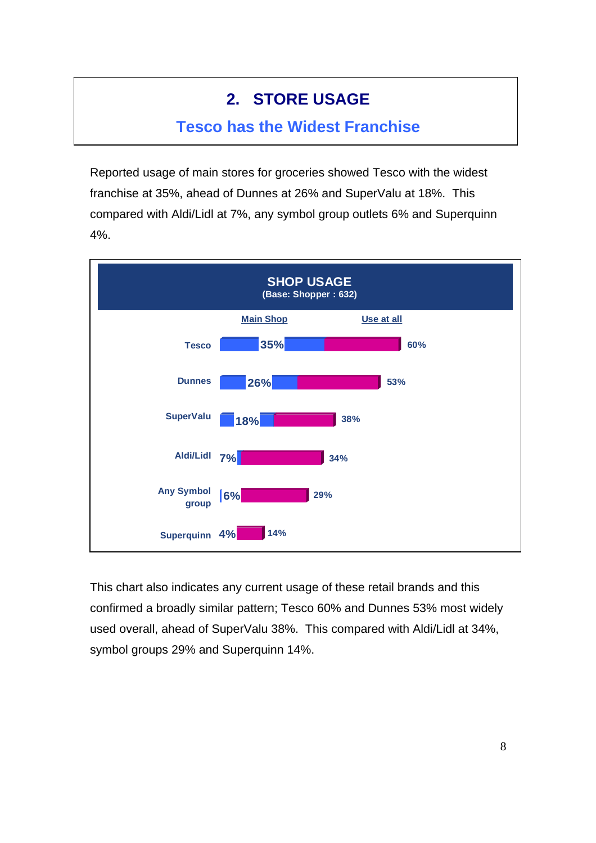### **2. STORE USAGE**

#### **Tesco has the Widest Franchise**

Reported usage of main stores for groceries showed Tesco with the widest franchise at 35%, ahead of Dunnes at 26% and SuperValu at 18%. This compared with Aldi/Lidl at 7%, any symbol group outlets 6% and Superquinn 4%.

![](_page_7_Figure_3.jpeg)

This chart also indicates any current usage of these retail brands and this confirmed a broadly similar pattern; Tesco 60% and Dunnes 53% most widely used overall, ahead of SuperValu 38%. This compared with Aldi/Lidl at 34%, symbol groups 29% and Superquinn 14%.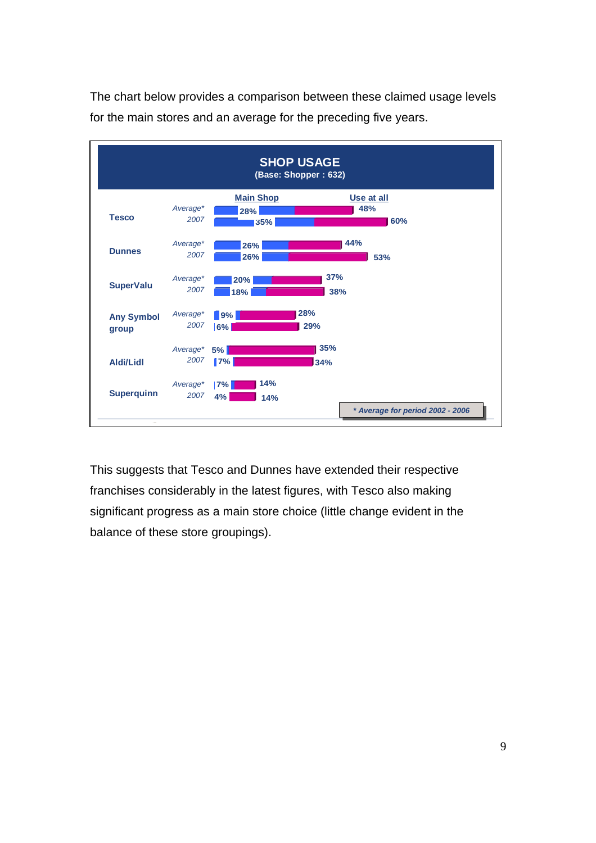![](_page_8_Figure_0.jpeg)

The chart below provides a comparison between these claimed usage levels for the main stores and an average for the preceding five years.

This suggests that Tesco and Dunnes have extended their respective franchises considerably in the latest figures, with Tesco also making significant progress as a main store choice (little change evident in the balance of these store groupings).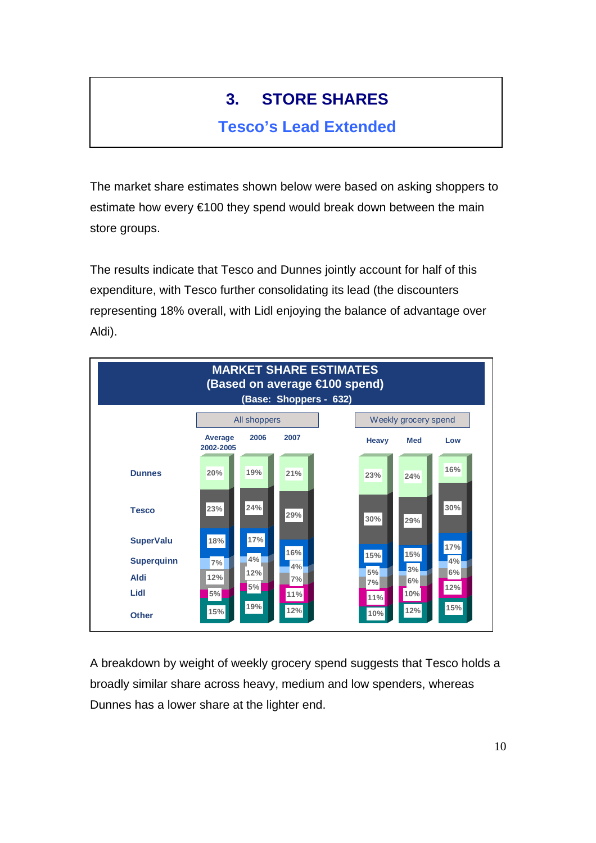# **3. STORE SHARES**

### **Tesco's Lead Extended**

The market share estimates shown below were based on asking shoppers to estimate how every €100 they spend would break down between the main store groups.

The results indicate that Tesco and Dunnes jointly account for half of this expenditure, with Tesco further consolidating its lead (the discounters representing 18% overall, with Lidl enjoying the balance of advantage over Aldi).

![](_page_9_Figure_4.jpeg)

A breakdown by weight of weekly grocery spend suggests that Tesco holds a broadly similar share across heavy, medium and low spenders, whereas Dunnes has a lower share at the lighter end.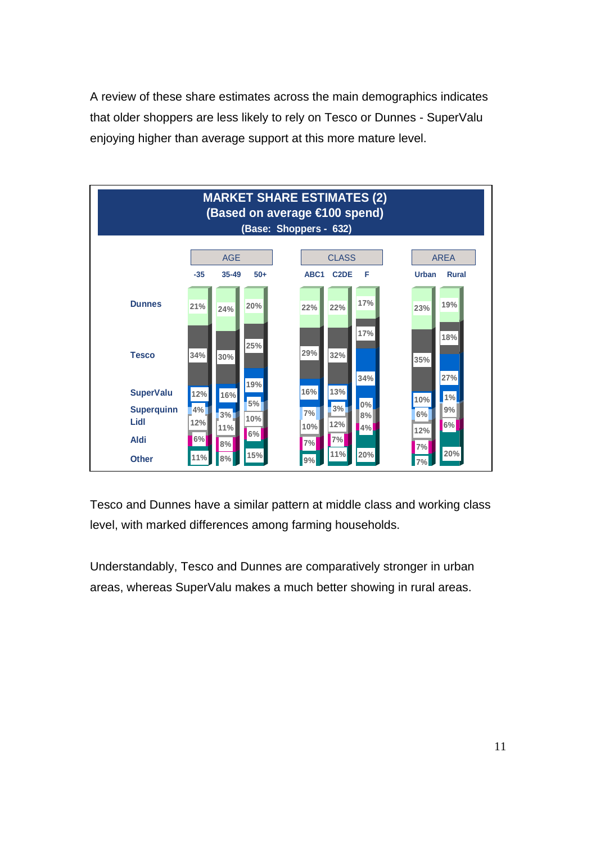A review of these share estimates across the main demographics indicates that older shoppers are less likely to rely on Tesco or Dunnes - SuperValu enjoying higher than average support at this more mature level.

![](_page_10_Figure_1.jpeg)

Tesco and Dunnes have a similar pattern at middle class and working class level, with marked differences among farming households.

Understandably, Tesco and Dunnes are comparatively stronger in urban areas, whereas SuperValu makes a much better showing in rural areas.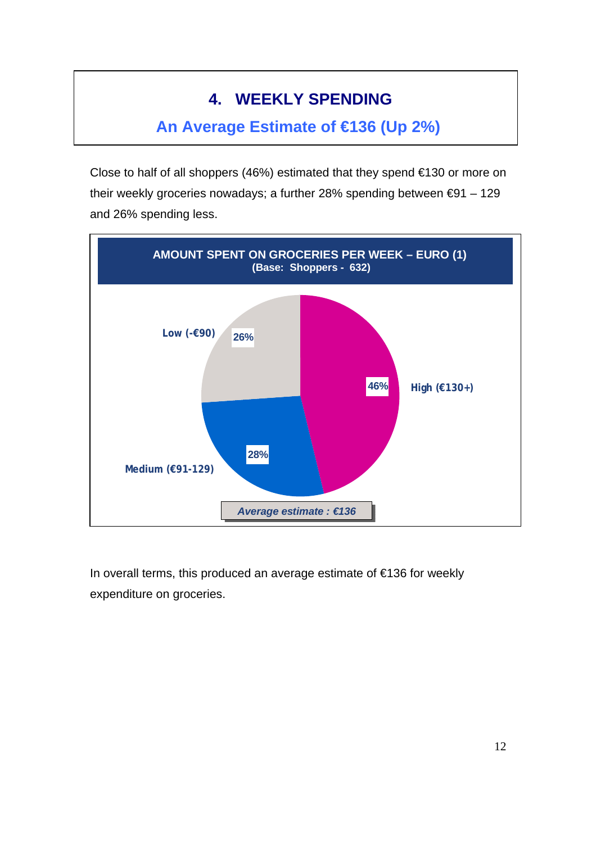## **4. WEEKLY SPENDING**

### **An Average Estimate of €136 (Up 2%)**

Close to half of all shoppers (46%) estimated that they spend €130 or more on their weekly groceries nowadays; a further 28% spending between €91 – 129 and 26% spending less.

![](_page_11_Figure_3.jpeg)

In overall terms, this produced an average estimate of €136 for weekly expenditure on groceries.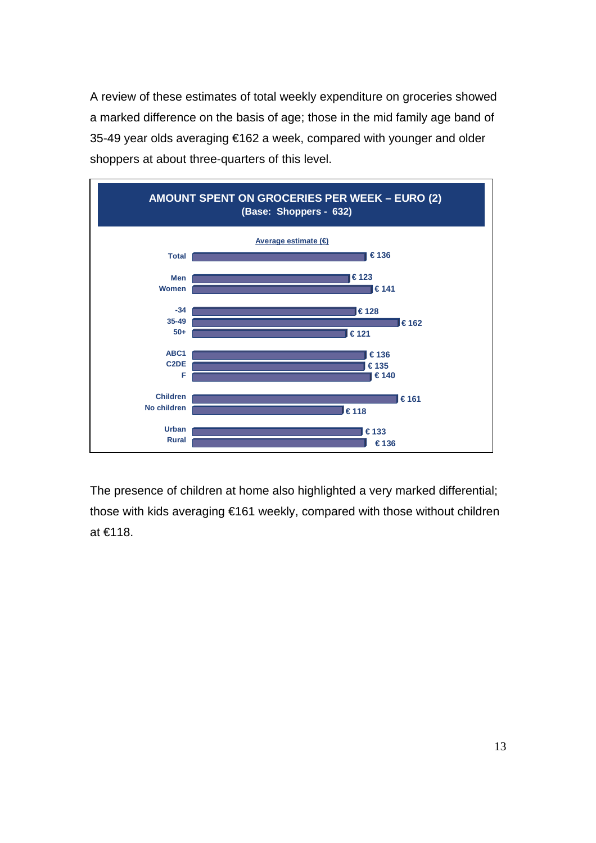A review of these estimates of total weekly expenditure on groceries showed a marked difference on the basis of age; those in the mid family age band of 35-49 year olds averaging €162 a week, compared with younger and older shoppers at about three-quarters of this level.

![](_page_12_Figure_1.jpeg)

The presence of children at home also highlighted a very marked differential; those with kids averaging €161 weekly, compared with those without children at €118.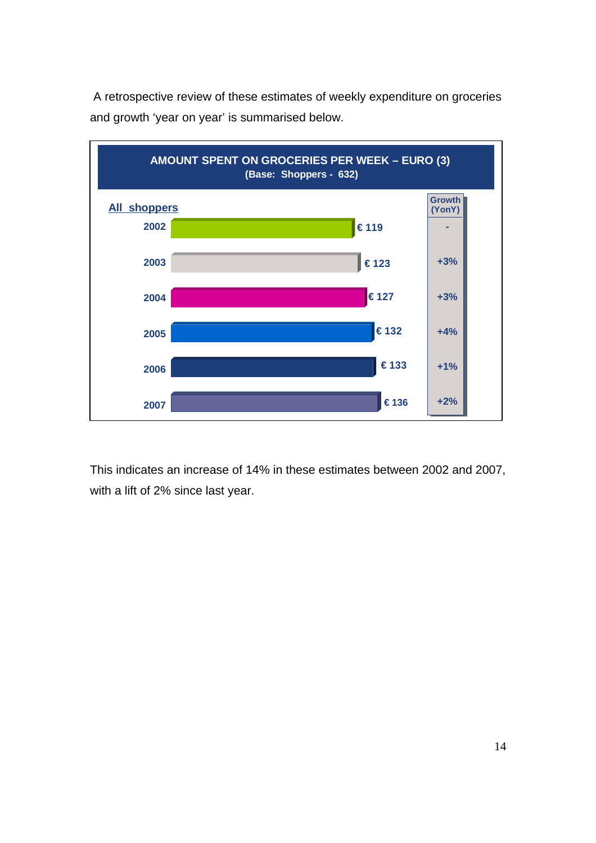![](_page_13_Figure_0.jpeg)

 A retrospective review of these estimates of weekly expenditure on groceries and growth 'year on year' is summarised below.

This indicates an increase of 14% in these estimates between 2002 and 2007, with a lift of 2% since last year.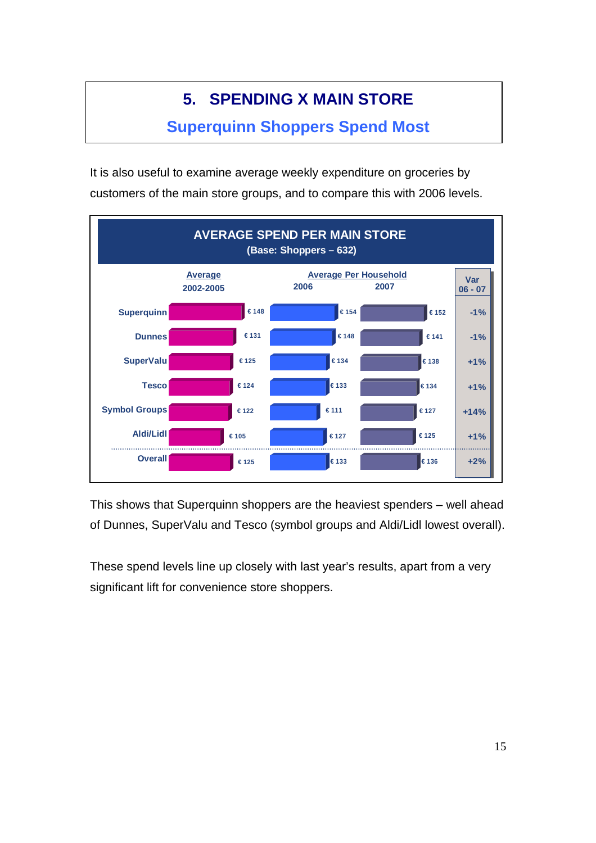# **5. SPENDING X MAIN STORE**

### **Superquinn Shoppers Spend Most**

It is also useful to examine average weekly expenditure on groceries by customers of the main store groups, and to compare this with 2006 levels.

![](_page_14_Figure_3.jpeg)

This shows that Superquinn shoppers are the heaviest spenders – well ahead of Dunnes, SuperValu and Tesco (symbol groups and Aldi/Lidl lowest overall).

These spend levels line up closely with last year's results, apart from a very significant lift for convenience store shoppers.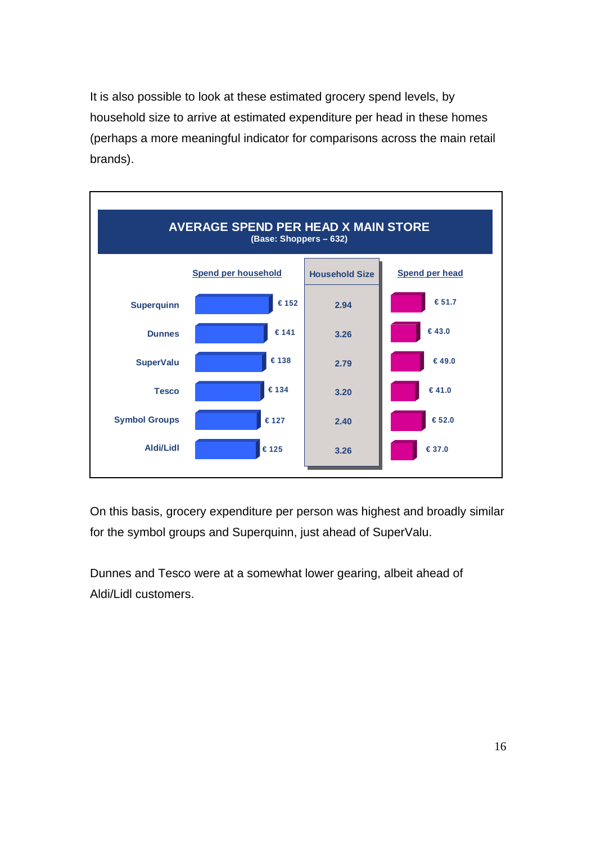It is also possible to look at these estimated grocery spend levels, by household size to arrive at estimated expenditure per head in these homes (perhaps a more meaningful indicator for comparisons across the main retail brands).

![](_page_15_Figure_1.jpeg)

On this basis, grocery expenditure per person was highest and broadly similar for the symbol groups and Superquinn, just ahead of SuperValu.

Dunnes and Tesco were at a somewhat lower gearing, albeit ahead of Aldi/Lidl customers.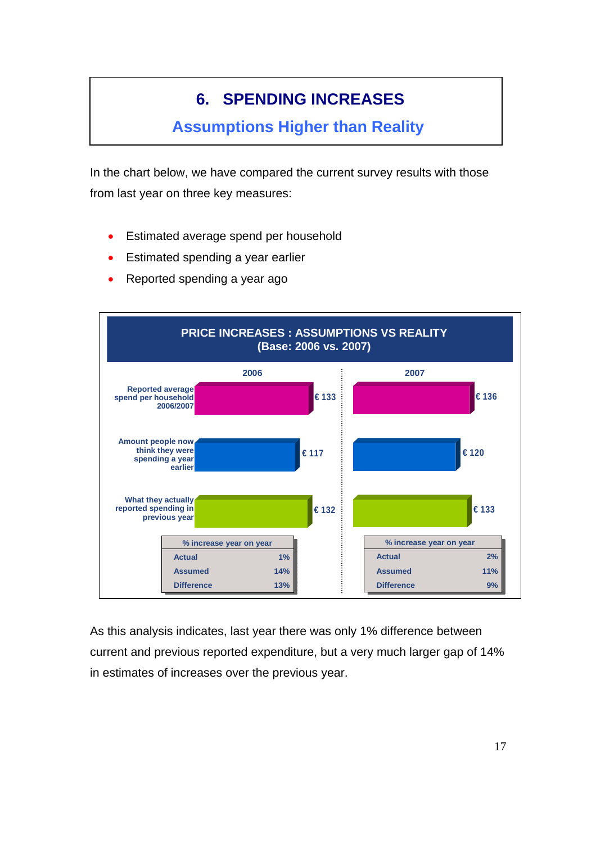# **6. SPENDING INCREASES**

#### **Assumptions Higher than Reality**

In the chart below, we have compared the current survey results with those from last year on three key measures:

- Estimated average spend per household
- Estimated spending a year earlier
- Reported spending a year ago

![](_page_16_Figure_6.jpeg)

As this analysis indicates, last year there was only 1% difference between current and previous reported expenditure, but a very much larger gap of 14% in estimates of increases over the previous year.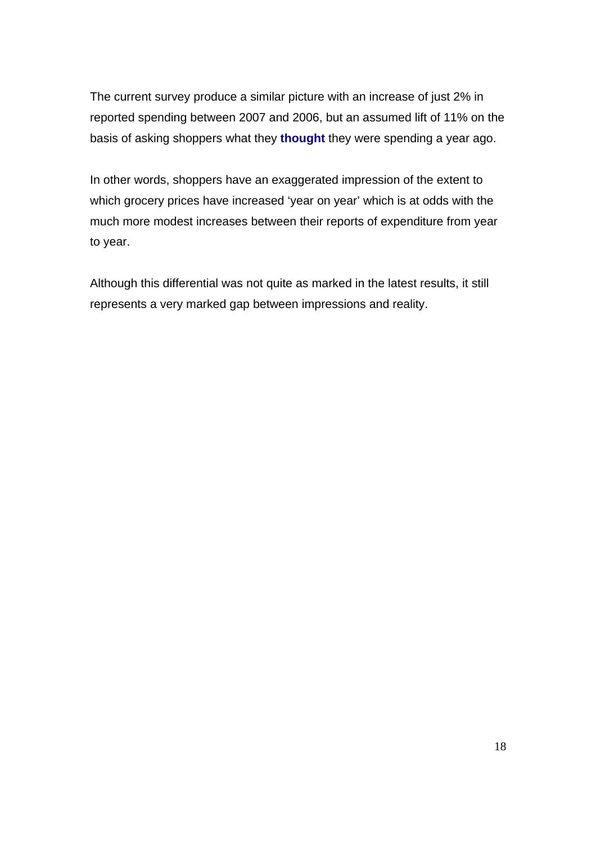The current survey produce a similar picture with an increase of just 2% in reported spending between 2007 and 2006, but an assumed lift of 11% on the basis of asking shoppers what they **thought** they were spending a year ago.

In other words, shoppers have an exaggerated impression of the extent to which grocery prices have increased 'year on year' which is at odds with the much more modest increases between their reports of expenditure from year to year.

Although this differential was not quite as marked in the latest results, it still represents a very marked gap between impressions and reality.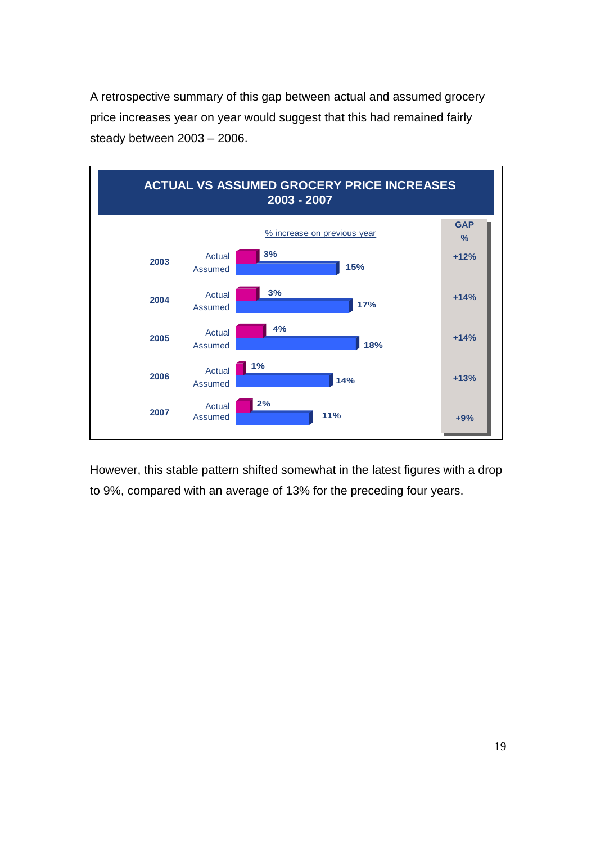A retrospective summary of this gap between actual and assumed grocery price increases year on year would suggest that this had remained fairly steady between 2003 – 2006.

![](_page_18_Figure_1.jpeg)

However, this stable pattern shifted somewhat in the latest figures with a drop to 9%, compared with an average of 13% for the preceding four years.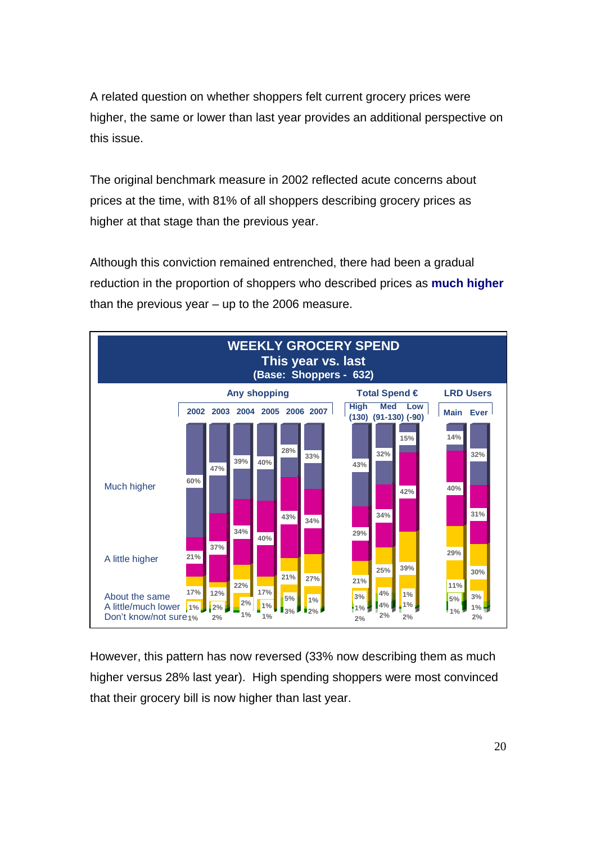A related question on whether shoppers felt current grocery prices were higher, the same or lower than last year provides an additional perspective on this issue.

The original benchmark measure in 2002 reflected acute concerns about prices at the time, with 81% of all shoppers describing grocery prices as higher at that stage than the previous year.

Although this conviction remained entrenched, there had been a gradual reduction in the proportion of shoppers who described prices as **much higher** than the previous year – up to the 2006 measure.

![](_page_19_Figure_3.jpeg)

However, this pattern has now reversed (33% now describing them as much higher versus 28% last year). High spending shoppers were most convinced that their grocery bill is now higher than last year.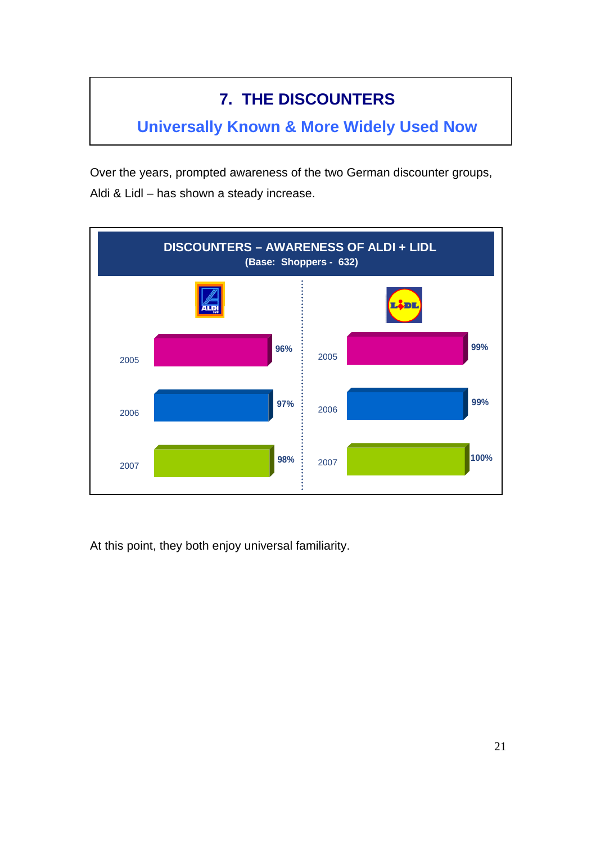# **7. THE DISCOUNTERS**

**Universally Known & More Widely Used Now** 

Over the years, prompted awareness of the two German discounter groups, Aldi & Lidl – has shown a steady increase.

![](_page_20_Figure_3.jpeg)

At this point, they both enjoy universal familiarity.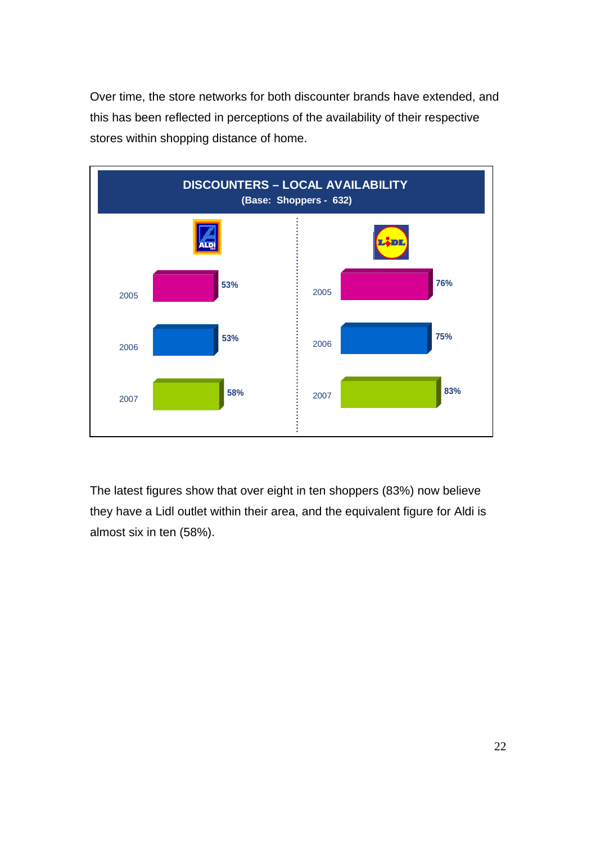Over time, the store networks for both discounter brands have extended, and this has been reflected in perceptions of the availability of their respective stores within shopping distance of home.

![](_page_21_Figure_1.jpeg)

The latest figures show that over eight in ten shoppers (83%) now believe they have a Lidl outlet within their area, and the equivalent figure for Aldi is almost six in ten (58%).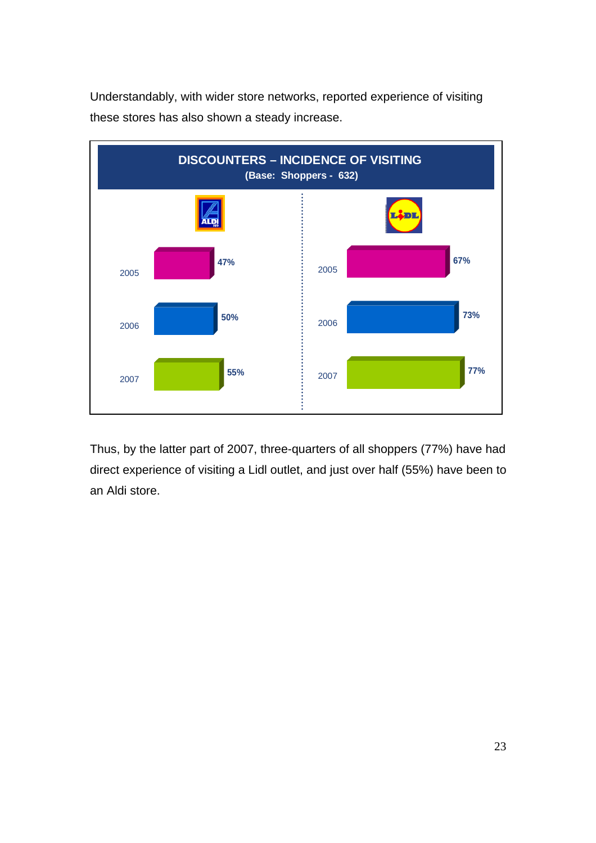![](_page_22_Figure_0.jpeg)

![](_page_22_Figure_1.jpeg)

Thus, by the latter part of 2007, three-quarters of all shoppers (77%) have had direct experience of visiting a Lidl outlet, and just over half (55%) have been to an Aldi store.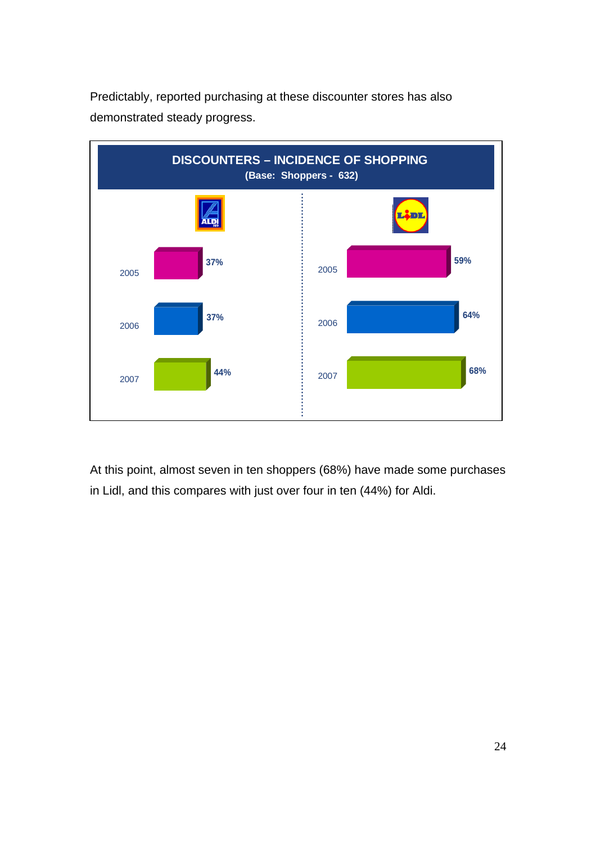![](_page_23_Figure_0.jpeg)

Predictably, reported purchasing at these discounter stores has also demonstrated steady progress.

At this point, almost seven in ten shoppers (68%) have made some purchases in Lidl, and this compares with just over four in ten (44%) for Aldi.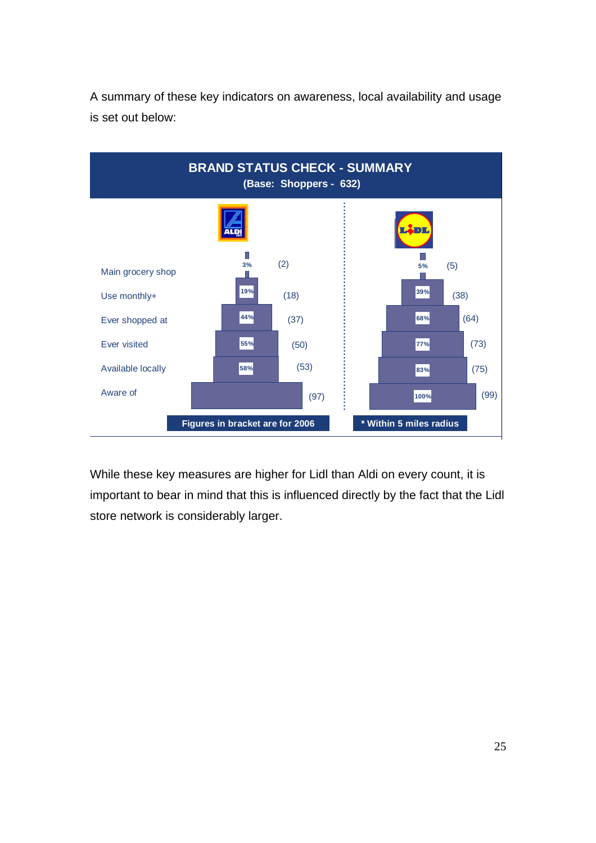![](_page_24_Figure_0.jpeg)

A summary of these key indicators on awareness, local availability and usage is set out below:

While these key measures are higher for Lidl than Aldi on every count, it is important to bear in mind that this is influenced directly by the fact that the Lidl store network is considerably larger.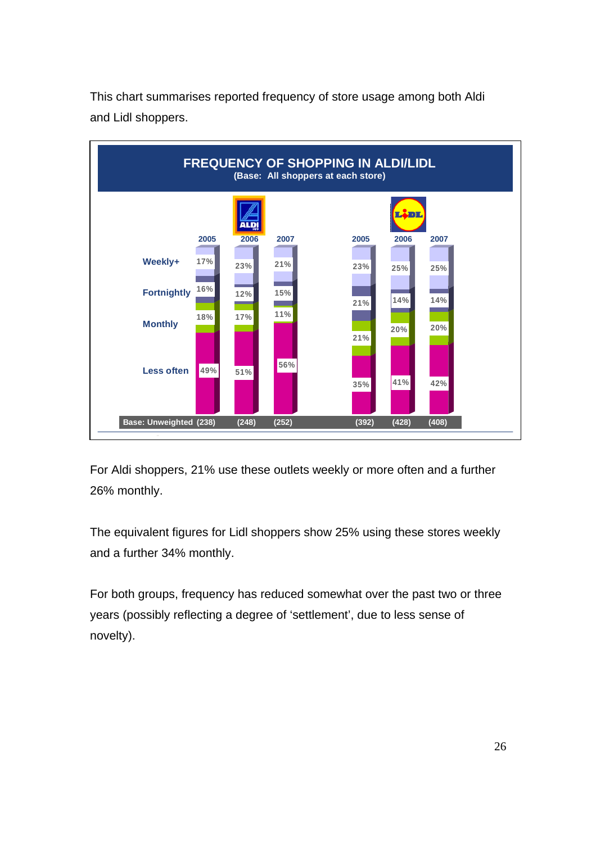![](_page_25_Figure_0.jpeg)

This chart summarises reported frequency of store usage among both Aldi and Lidl shoppers.

For Aldi shoppers, 21% use these outlets weekly or more often and a further 26% monthly.

The equivalent figures for Lidl shoppers show 25% using these stores weekly and a further 34% monthly.

For both groups, frequency has reduced somewhat over the past two or three years (possibly reflecting a degree of 'settlement', due to less sense of novelty).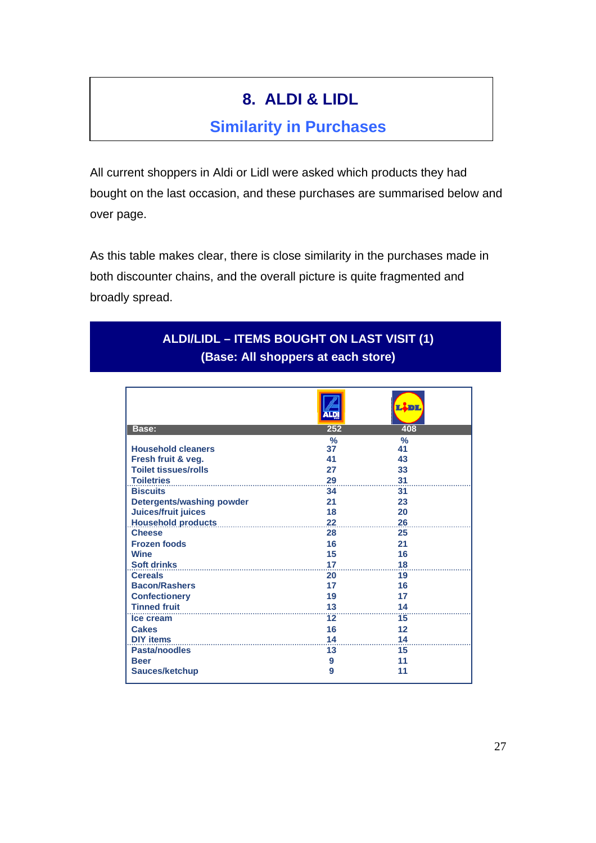## **8. ALDI & LIDL**

#### **Similarity in Purchases**

All current shoppers in Aldi or Lidl were asked which products they had bought on the last occasion, and these purchases are summarised below and over page.

As this table makes clear, there is close similarity in the purchases made in both discounter chains, and the overall picture is quite fragmented and broadly spread.

#### **ALDI/LIDL – ITEMS BOUGHT ON LAST VISIT (1) (Base: All shoppers at each store)**

| Base:                            | 252                 | 408                 |
|----------------------------------|---------------------|---------------------|
| <b>Household cleaners</b>        | $\frac{9}{6}$<br>37 | $\frac{9}{6}$<br>41 |
| Fresh fruit & veg.               | 41                  | 43                  |
| <b>Toilet tissues/rolls</b>      | 27                  | 33                  |
| <b>Toiletries</b>                | 29                  | 31                  |
| <b>Biscuits</b>                  | 34                  | 31                  |
|                                  |                     |                     |
| <b>Detergents/washing powder</b> | 21                  | 23                  |
| Juices/fruit juices              | 18                  | 20                  |
| Household products 22            |                     | 26                  |
| <b>Cheese</b>                    | 28                  | 25                  |
| <b>Frozen foods</b>              | 16                  | 21                  |
| <b>Wine</b>                      | 15                  | 16                  |
| <b>Soft drinks</b>               | 17                  | 18                  |
| <b>Cereals</b>                   | 20                  | 19                  |
| <b>Bacon/Rashers</b>             | 17                  | 16                  |
| <b>Confectionery</b>             | 19                  | 17                  |
| Tinned fruit                     | 13                  | 14                  |
| Ice cream                        | 12                  | 15                  |
| <b>Cakes</b>                     | 16                  | 12                  |
| <b>DIY items</b>                 | 14                  | 14                  |
| Pasta/noodles                    | 13                  | 15                  |
| <b>Beer</b>                      | 9                   | 11                  |
| <b>Sauces/ketchup</b>            | 9                   | 11                  |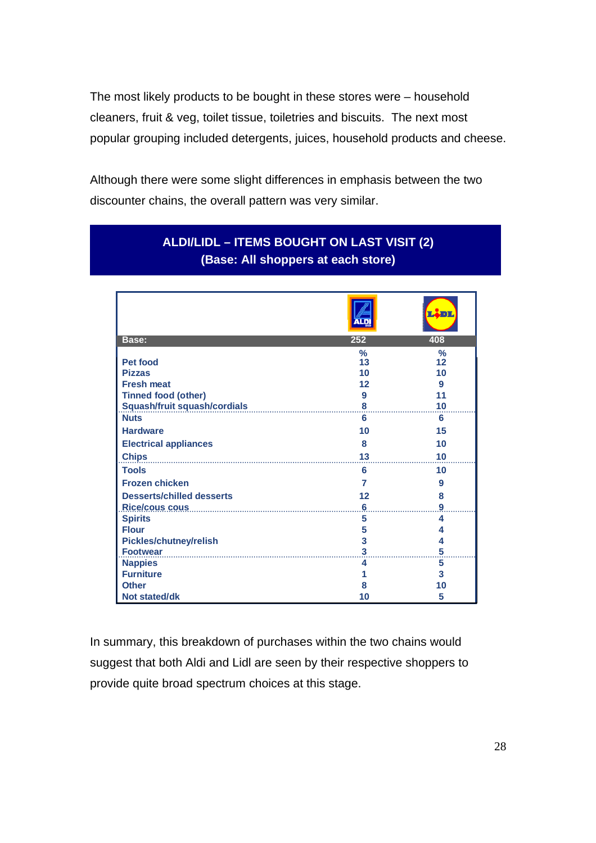The most likely products to be bought in these stores were – household cleaners, fruit & veg, toilet tissue, toiletries and biscuits. The next most popular grouping included detergents, juices, household products and cheese.

Although there were some slight differences in emphasis between the two discounter chains, the overall pattern was very similar.

|                                     |            | л                   |
|-------------------------------------|------------|---------------------|
| Base:                               | 252        | 408                 |
| <b>Pet food</b>                     | $\%$<br>13 | $\frac{9}{6}$<br>12 |
| <b>Pizzas</b>                       | 10         | 10                  |
| <b>Fresh meat</b>                   | 12         | 9                   |
| <b>Tinned food (other)</b>          | 9          | 11                  |
| <b>Squash/fruit squash/cordials</b> | 8          | 10                  |
| <b>Nuts</b>                         | 6          | 6                   |
| <b>Hardware</b>                     | 10         | 15                  |
| <b>Electrical appliances</b>        | 8          | 10                  |
| <b>Chips</b>                        | 13         | 10                  |
| <b>Tools</b>                        | 6          | 10                  |
| <b>Frozen chicken</b>               | 7          | 9                   |
| <b>Desserts/chilled desserts</b>    | 12         | 8                   |
|                                     | 6          | 9                   |
| <b>Spirits</b>                      | 5          | 4                   |
| <b>Flour</b>                        | 5          | 4                   |
| <b>Pickles/chutney/relish</b>       | 3          | 4                   |
| <b>Footwear</b>                     | 3          | 5                   |
| <b>Nappies</b>                      | 4          | 5                   |
| <b>Furniture</b>                    |            | 3                   |
| <b>Other</b>                        | 8          | 10                  |
| <b>Not stated/dk</b>                | 10         | 5                   |

#### **ALDI/LIDL – ITEMS BOUGHT ON LAST VISIT (2) (Base: All shoppers at each store)**

In summary, this breakdown of purchases within the two chains would suggest that both Aldi and Lidl are seen by their respective shoppers to provide quite broad spectrum choices at this stage.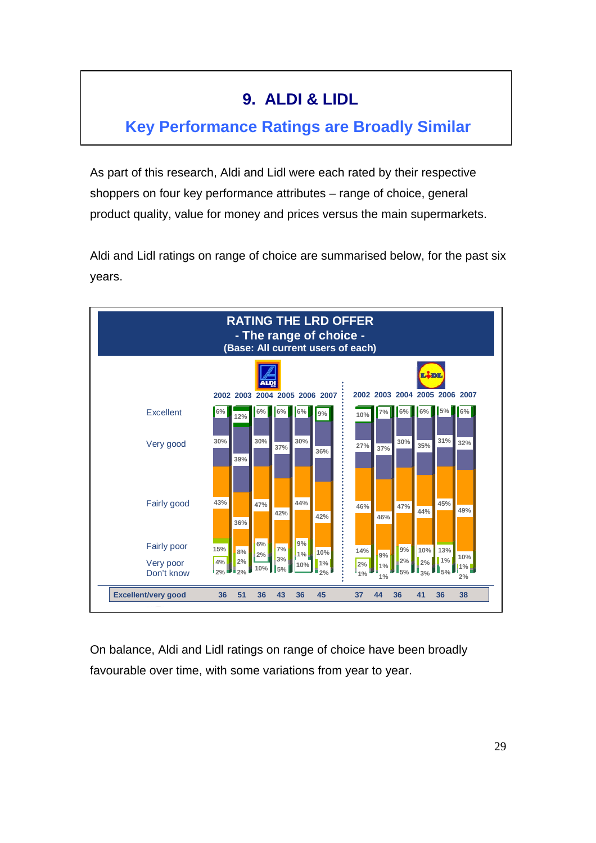## **9. ALDI & LIDL**

### **Key Performance Ratings are Broadly Similar**

As part of this research, Aldi and Lidl were each rated by their respective shoppers on four key performance attributes – range of choice, general product quality, value for money and prices versus the main supermarkets.

Aldi and Lidl ratings on range of choice are summarised below, for the past six years.

![](_page_28_Figure_4.jpeg)

On balance, Aldi and Lidl ratings on range of choice have been broadly favourable over time, with some variations from year to year.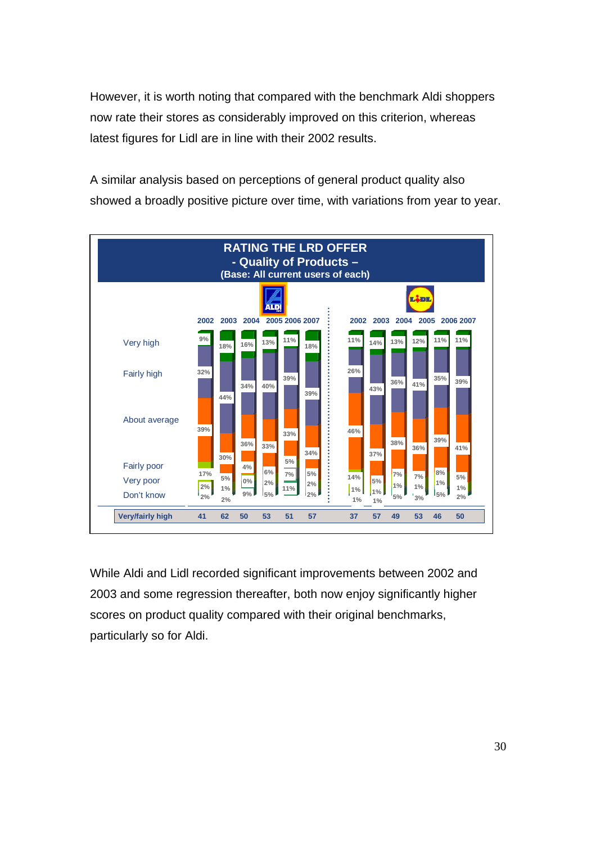However, it is worth noting that compared with the benchmark Aldi shoppers now rate their stores as considerably improved on this criterion, whereas latest figures for Lidl are in line with their 2002 results.

A similar analysis based on perceptions of general product quality also showed a broadly positive picture over time, with variations from year to year.

![](_page_29_Figure_2.jpeg)

While Aldi and Lidl recorded significant improvements between 2002 and 2003 and some regression thereafter, both now enjoy significantly higher scores on product quality compared with their original benchmarks, particularly so for Aldi.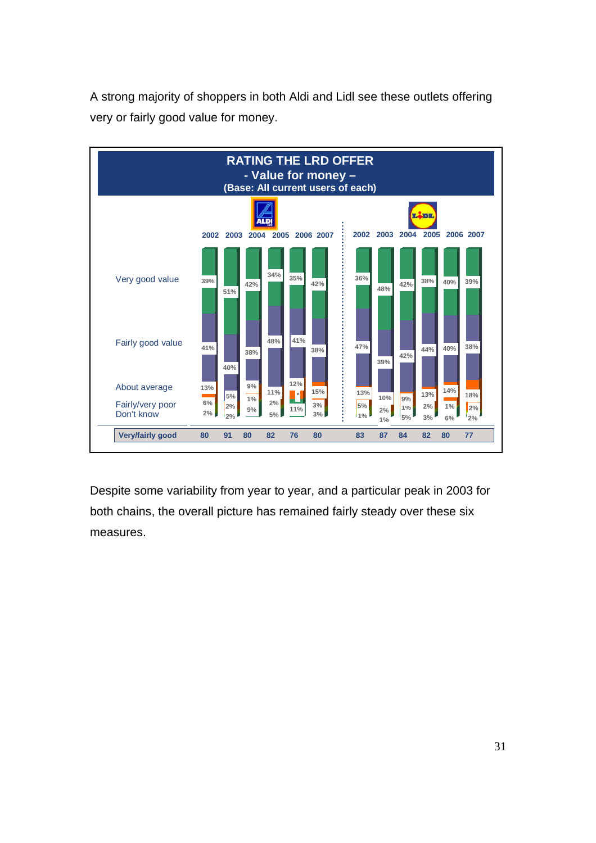A strong majority of shoppers in both Aldi and Lidl see these outlets offering very or fairly good value for money.

![](_page_30_Figure_1.jpeg)

Despite some variability from year to year, and a particular peak in 2003 for both chains, the overall picture has remained fairly steady over these six measures.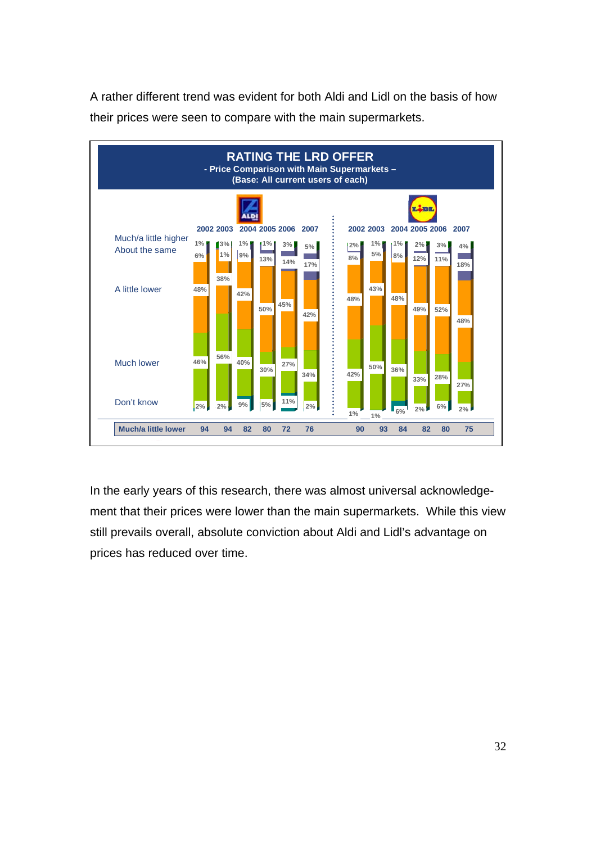A rather different trend was evident for both Aldi and Lidl on the basis of how their prices were seen to compare with the main supermarkets.

![](_page_31_Figure_1.jpeg)

In the early years of this research, there was almost universal acknowledgement that their prices were lower than the main supermarkets. While this view still prevails overall, absolute conviction about Aldi and Lidl's advantage on prices has reduced over time.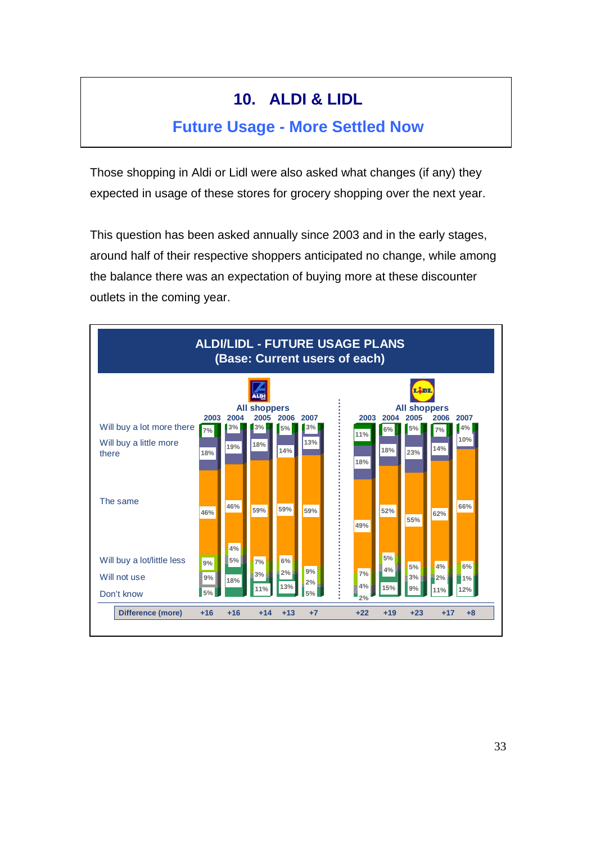## **10. ALDI & LIDL**

#### **Future Usage - More Settled Now**

Those shopping in Aldi or Lidl were also asked what changes (if any) they expected in usage of these stores for grocery shopping over the next year.

This question has been asked annually since 2003 and in the early stages, around half of their respective shoppers anticipated no change, while among the balance there was an expectation of buying more at these discounter outlets in the coming year.

![](_page_32_Figure_4.jpeg)